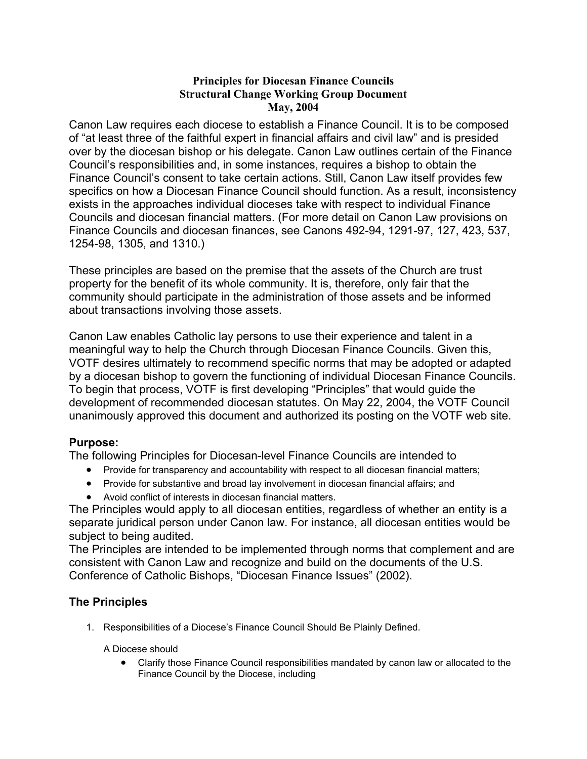## **Principles for Diocesan Finance Councils Structural Change Working Group Document May, 2004**

Canon Law requires each diocese to establish a Finance Council. It is to be composed of "at least three of the faithful expert in financial affairs and civil law" and is presided over by the diocesan bishop or his delegate. Canon Law outlines certain of the Finance Council's responsibilities and, in some instances, requires a bishop to obtain the Finance Council's consent to take certain actions. Still, Canon Law itself provides few specifics on how a Diocesan Finance Council should function. As a result, inconsistency exists in the approaches individual dioceses take with respect to individual Finance Councils and diocesan financial matters. (For more detail on Canon Law provisions on Finance Councils and diocesan finances, see Canons 492-94, 1291-97, 127, 423, 537, 1254-98, 1305, and 1310.)

These principles are based on the premise that the assets of the Church are trust property for the benefit of its whole community. It is, therefore, only fair that the community should participate in the administration of those assets and be informed about transactions involving those assets.

Canon Law enables Catholic lay persons to use their experience and talent in a meaningful way to help the Church through Diocesan Finance Councils. Given this, VOTF desires ultimately to recommend specific norms that may be adopted or adapted by a diocesan bishop to govern the functioning of individual Diocesan Finance Councils. To begin that process, VOTF is first developing "Principles" that would guide the development of recommended diocesan statutes. On May 22, 2004, the VOTF Council unanimously approved this document and authorized its posting on the VOTF web site.

## **Purpose:**

The following Principles for Diocesan-level Finance Councils are intended to

- Provide for transparency and accountability with respect to all diocesan financial matters;
- Provide for substantive and broad lay involvement in diocesan financial affairs; and
- Avoid conflict of interests in diocesan financial matters.

The Principles would apply to all diocesan entities, regardless of whether an entity is a separate juridical person under Canon law. For instance, all diocesan entities would be subject to being audited.

The Principles are intended to be implemented through norms that complement and are consistent with Canon Law and recognize and build on the documents of the U.S. Conference of Catholic Bishops, "Diocesan Finance Issues" (2002).

# **The Principles**

1. Responsibilities of a Diocese's Finance Council Should Be Plainly Defined.

### A Diocese should

• Clarify those Finance Council responsibilities mandated by canon law or allocated to the Finance Council by the Diocese, including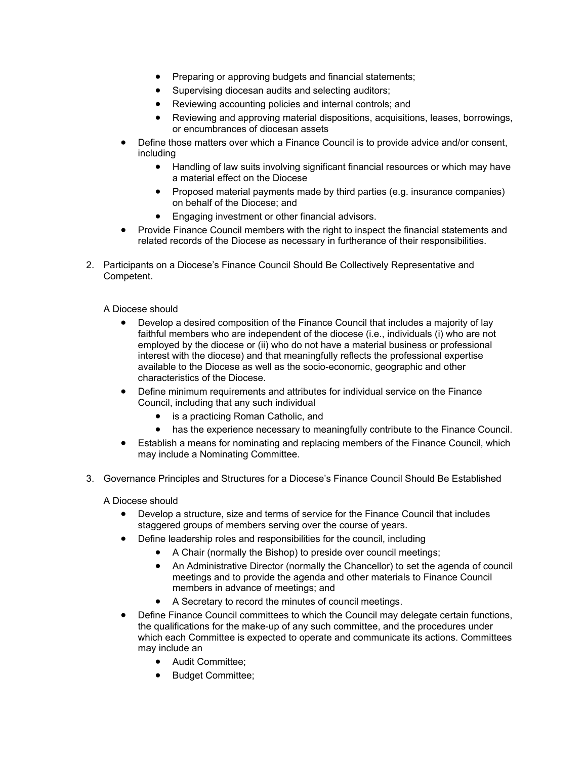- Preparing or approving budgets and financial statements;
- Supervising diocesan audits and selecting auditors;
- Reviewing accounting policies and internal controls; and
- Reviewing and approving material dispositions, acquisitions, leases, borrowings, or encumbrances of diocesan assets
- Define those matters over which a Finance Council is to provide advice and/or consent, including
	- Handling of law suits involving significant financial resources or which may have a material effect on the Diocese
	- Proposed material payments made by third parties (e.g. insurance companies) on behalf of the Diocese; and
	- Engaging investment or other financial advisors.
- Provide Finance Council members with the right to inspect the financial statements and related records of the Diocese as necessary in furtherance of their responsibilities.
- 2. Participants on a Diocese's Finance Council Should Be Collectively Representative and Competent.

#### A Diocese should

- Develop a desired composition of the Finance Council that includes a majority of lay faithful members who are independent of the diocese (i.e., individuals (i) who are not employed by the diocese or (ii) who do not have a material business or professional interest with the diocese) and that meaningfully reflects the professional expertise available to the Diocese as well as the socio-economic, geographic and other characteristics of the Diocese.
- Define minimum requirements and attributes for individual service on the Finance Council, including that any such individual
	- is a practicing Roman Catholic, and
	- has the experience necessary to meaningfully contribute to the Finance Council.
- Establish a means for nominating and replacing members of the Finance Council, which may include a Nominating Committee.
- 3. Governance Principles and Structures for a Diocese's Finance Council Should Be Established

A Diocese should

- Develop a structure, size and terms of service for the Finance Council that includes staggered groups of members serving over the course of years.
- Define leadership roles and responsibilities for the council, including
	- A Chair (normally the Bishop) to preside over council meetings;
	- An Administrative Director (normally the Chancellor) to set the agenda of council meetings and to provide the agenda and other materials to Finance Council members in advance of meetings; and
	- A Secretary to record the minutes of council meetings.
- Define Finance Council committees to which the Council may delegate certain functions, the qualifications for the make-up of any such committee, and the procedures under which each Committee is expected to operate and communicate its actions. Committees may include an
	- Audit Committee;
	- Budget Committee;